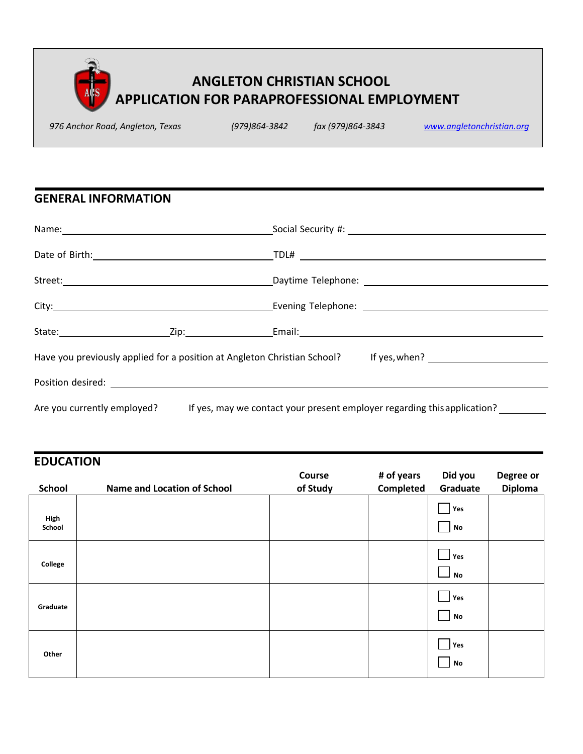

*976 Anchor Road, Angleton, Texas (979)864-3842 fax (979)864-3843 www.angletonchristian.org*

# **GENERAL INFORMATION**

|                             | Have you previously applied for a position at Angleton Christian School? If yes, when? [100] Have you previously applied for a position at Angleton Christian School? If yes, when? [100] Have The May 2010 |
|-----------------------------|-------------------------------------------------------------------------------------------------------------------------------------------------------------------------------------------------------------|
|                             |                                                                                                                                                                                                             |
| Are you currently employed? | If yes, may we contact your present employer regarding this application?                                                                                                                                    |

### **EDUCATION**

| <b>School</b> | <b>Name and Location of School</b> | Course<br>of Study | # of years<br>Completed | Did you<br>Graduate            | Degree or<br><b>Diploma</b> |
|---------------|------------------------------------|--------------------|-------------------------|--------------------------------|-----------------------------|
| High          |                                    |                    |                         | Yes                            |                             |
| School        |                                    |                    |                         | $\mathsf{No}$                  |                             |
|               |                                    |                    |                         | Yes                            |                             |
| College       |                                    |                    |                         | $\overline{\phantom{0}}$<br>No |                             |
|               |                                    |                    |                         | Yes                            |                             |
| Graduate      |                                    |                    |                         | No                             |                             |
|               |                                    |                    |                         | Yes                            |                             |
| Other         |                                    |                    |                         | No                             |                             |
|               |                                    |                    |                         |                                |                             |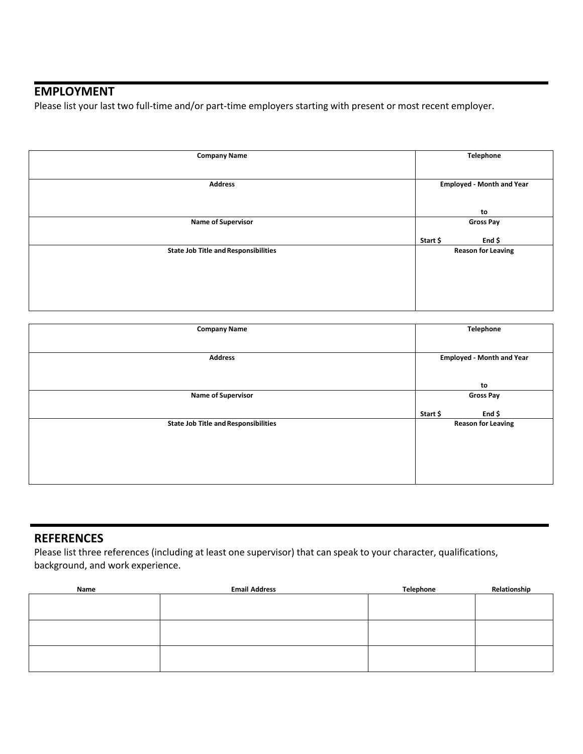# **EMPLOYMENT**

Please list your last two full-time and/or part-time employers starting with present or most recent employer.

| <b>Company Name</b>                         | <b>Telephone</b>                 |
|---------------------------------------------|----------------------------------|
|                                             |                                  |
| <b>Address</b>                              | <b>Employed - Month and Year</b> |
|                                             |                                  |
|                                             | to                               |
| <b>Name of Supervisor</b>                   | <b>Gross Pay</b>                 |
|                                             | End \$<br>Start \$               |
| <b>State Job Title and Responsibilities</b> | <b>Reason for Leaving</b>        |
|                                             |                                  |
|                                             |                                  |
|                                             |                                  |
|                                             |                                  |

| <b>Telephone</b>                 |
|----------------------------------|
|                                  |
| <b>Employed - Month and Year</b> |
| to                               |
| <b>Gross Pay</b>                 |
| Start \$<br>End \$               |
| <b>Reason for Leaving</b>        |
|                                  |
|                                  |
|                                  |
|                                  |
|                                  |

#### **REFERENCES**

Please list three references (including at least one supervisor) that can speak to your character, qualifications, background, and work experience.

| Name | <b>Email Address</b> | Telephone | Relationship |  |  |
|------|----------------------|-----------|--------------|--|--|
|      |                      |           |              |  |  |
|      |                      |           |              |  |  |
|      |                      |           |              |  |  |
|      |                      |           |              |  |  |
|      |                      |           |              |  |  |
|      |                      |           |              |  |  |
|      |                      |           |              |  |  |
|      |                      |           |              |  |  |
|      |                      |           |              |  |  |